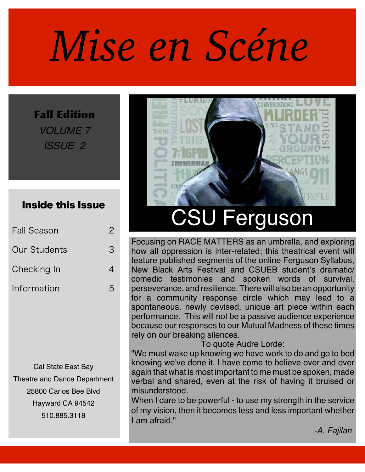# *Mise en Scéne*

Fall Edition *VOLUME 7 ISSUE 2*

#### Inside this Issue

| <b>Fall Season</b>  |   |
|---------------------|---|
| <b>Our Students</b> | З |
| Checking In         |   |
| Information         | ら |

Cal State East Bay Theatre and Dance Department 25800 Carlos Bee Blvd Hayward CA 94542 510.885.3118



# CSU Ferguson

Focusing on RACE MATTERS as an umbrella, and exploring how all oppression is inter-related; this theatrical event will feature published segments of the online Ferguson Syllabus, New Black Arts Festival and CSUEB student's dramatic/ comedic testimonies and spoken words of survival, perseverance, and resilience. There will also be an opportunity for a community response circle which may lead to a spontaneous, newly devised, unique art piece within each performance. This will not be a passive audience experience because our responses to our Mutual Madness of these times rely on our breaking silences.

To quote Audre Lorde:

"We must wake up knowing we have work to do and go to bed knowing we've done it. I have come to believe over and over again that what is most important to me must be spoken, made verbal and shared, even at the risk of having it bruised or misunderstood.

When I dare to be powerful - to use my strength in the service of my vision, then it becomes less and less important whether I am afraid."

*-A. Fajilan*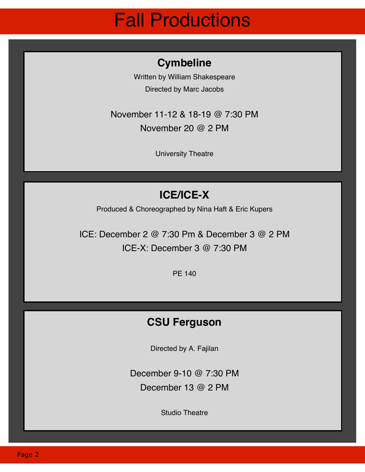# Fall Productions

#### **Cymbeline**

Written by William Shakespeare Directed by Marc Jacobs

November 11-12 & 18-19 @ 7:30 PM November 20 @ 2 PM

University Theatre

### **ICE/ICE-X**

Produced & Choreographed by Nina Haft & Eric Kupers

ICE: December 2 @ 7:30 Pm & December 3 @ 2 PM ICE-X: December 3 @ 7:30 PM

PE 140

#### **CSU Ferguson**

Directed by A. Fajilan

December 9-10 @ 7:30 PM December 13 @ 2 PM

Studio Theatre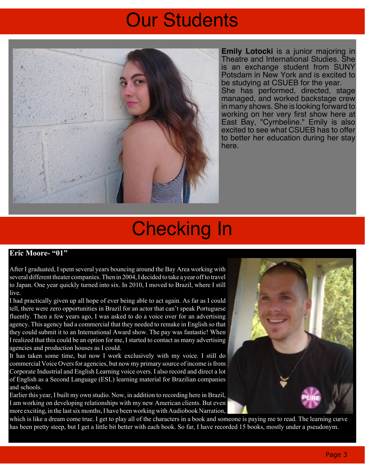# Our Students



**Emily Lotocki** is a junior majoring in Theatre and International Studies. She is an exchange student from SUNY Potsdam in New York and is excited to be studying at CSUEB for the year. She has performed, directed, stage managed, and worked backstage crew in many shows.She is looking forward to working on her very first show here at East Bay, "Cymbeline." Emily is also excited to see what CSUEB has to offer to better her education during her stay here.

## Checking In

#### **Eric Moore- "01"**

After I graduated, I spent several years bouncing around the Bay Area working with several different theater companies. Then in 2004, I decided to take a year off to travel to Japan. One year quickly turned into six. In 2010, I moved to Brazil, where I still live.

I had practically given up all hope of ever being able to act again. As far as I could tell, there were zero opportunities in Brazil for an actor that can't speak Portuguese fluently. Then a few years ago, I was asked to do a voice over for an advertising agency. This agency had a commercial that they needed to remake in English so that they could submit it to an International Award show. The pay was fantastic! When I realized that this could be an option for me, Istarted to contact as many advertising agencies and production houses as I could.

It has taken some time, but now I work exclusively with my voice. I still do commercial Voice Overs for agencies, but now my primary source of income is from Corporate Industrial and English Learning voice overs. I also record and direct a lot of English as a Second Language (ESL) learning material for Brazilian companies and schools.

Earlier this year, I built my own studio. Now, in addition to recording here in Brazil, I am working on developing relationships with my new American clients. But even more exciting, in the last six months, I have been working with Audiobook Narration,



which is like a dream come true. I get to play all of the characters in a book and someone is paying me to read. The learning curve has been pretty steep, but I get a little bit better with each book. So far, I have recorded 15 books, mostly under a pseudonym.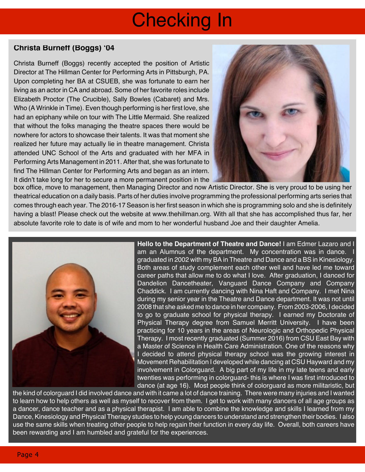# Checking In

#### **Christa Burneff (Boggs) '04**

Christa Burneff (Boggs) recently accepted the position of Artistic Director at The Hillman Center for Performing Arts in Pittsburgh, PA. Upon completing her BA at CSUEB, she was fortunate to earn her living as an actor in CA and abroad. Some of her favorite roles include Elizabeth Proctor (The Crucible), Sally Bowles (Cabaret) and Mrs. Who (A Wrinkle in Time). Even though performing is her first love, she had an epiphany while on tour with The Little Mermaid. She realized that without the folks managing the theatre spaces there would be nowhere for actors to showcase their talents. It was that moment she realized her future may actually lie in theatre management. Christa attended UNC School of the Arts and graduated with her MFA in Performing Arts Management in 2011. After that, she was fortunate to find The Hillman Center for Performing Arts and began as an intern. It didn't take long for her to secure a more permanent position in the



box office, move to management, then Managing Director and now Artistic Director. She is very proud to be using her theatrical education on a daily basis. Parts of her duties involve programming the professional performing arts series that comes through each year. The 2016-17 Season is her first season in which she is programming solo and she is definitely having a blast! Please check out the website at www.thehillman.org. With all that she has accomplished thus far, her absolute favorite role to date is of wife and mom to her wonderful husband Joe and their daughter Amelia.



**Hello to the Department of Theatre and Dance!** I am Edmer Lazaro and I am an Alumnus of the department. My concentration was in dance. graduated in 2002 with my BA in Theatre and Dance and a BS in Kinesiology. Both areas of study complement each other well and have led me toward career paths that allow me to do what I love. After graduation, I danced for Dandelion Dancetheater, Vanguard Dance Company and Company Chaddick. I am currently dancing with Nina Haft and Company. I met Nina during my senior year in the Theatre and Dance department. It was not until 2008 that she asked me to dance in her company. From 2003-2006, I decided to go to graduate school for physical therapy. I earned my Doctorate of Physical Therapy degree from Samuel Merritt University. I have been practicing for 10 years in the areas of Neurologic and Orthopedic Physical Therapy. I most recently graduated (Summer 2016) from CSU East Bay with a Master of Science in Health Care Administration. One of the reasons why I decided to attend physical therapy school was the growing interest in Movement Rehabilitation I developed while dancing at CSU Hayward and my involvement in Colorguard. A big part of my life in my late teens and early twenties was performing in colorguard- this is where I was first introduced to dance (at age 16). Most people think of colorguard as more militaristic, but

the kind of colorguard I did involved dance and with it came a lot of dance training. There were many injuries and I wanted to learn how to help others as well as myself to recover from them. I get to work with many dancers of all age groups as a dancer, dance teacher and as a physical therapist. I am able to combine the knowledge and skills I learned from my Dance, Kinesiology and Physical Therapy studies to help young dancers to understand and strengthen their bodies. I also use the same skills when treating other people to help regain their function in every day life. Overall, both careers have been rewarding and I am humbled and grateful for the experiences.